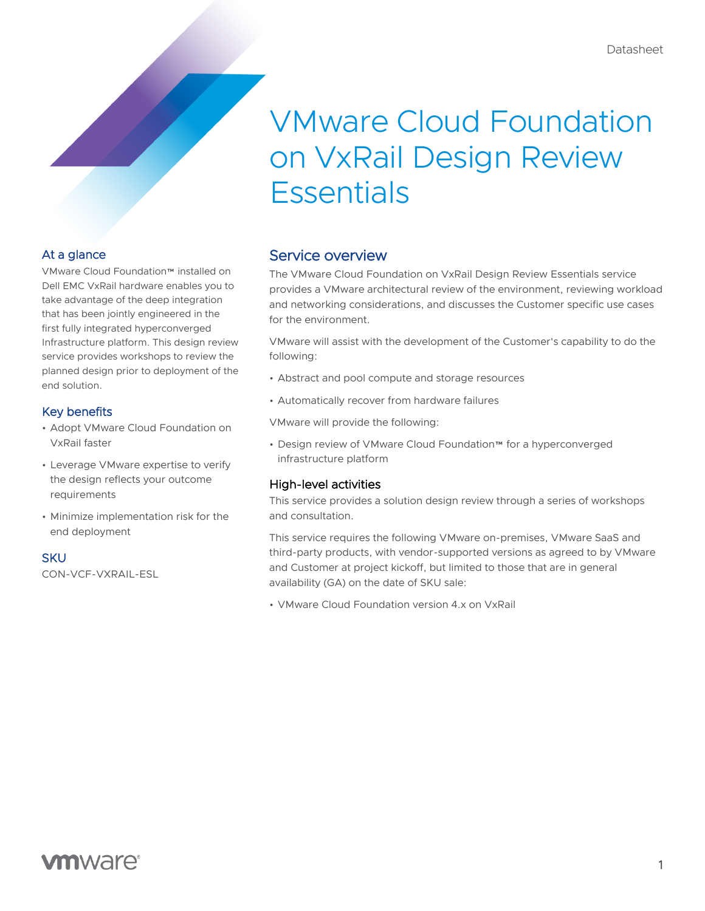# VMware Cloud Foundation on VxRail Design Review **Essentials**

## At a glance

VMware Cloud Foundation™ installed on Dell EMC VxRail hardware enables you to take advantage of the deep integration that has been jointly engineered in the first fully integrated hyperconverged Infrastructure platform. This design review service provides workshops to review the planned design prior to deployment of the end solution.

### Key benefits

- Adopt VMware Cloud Foundation on VxRail faster
- Leverage VMware expertise to verify the design reflects your outcome requirements
- Minimize implementation risk for the end deployment

#### **SKU**

CON-VCF-VXRAIL-ESL

## Service overview

The VMware Cloud Foundation on VxRail Design Review Essentials service provides a VMware architectural review of the environment, reviewing workload and networking considerations, and discusses the Customer specific use cases for the environment.

VMware will assist with the development of the Customer's capability to do the following:

- Abstract and pool compute and storage resources
- Automatically recover from hardware failures

VMware will provide the following:

• Design review of VMware Cloud Foundation™ for a hyperconverged infrastructure platform

### High-level activities

This service provides a solution design review through a series of workshops and consultation.

This service requires the following VMware on-premises, VMware SaaS and third-party products, with vendor-supported versions as agreed to by VMware and Customer at project kickoff, but limited to those that are in general availability (GA) on the date of SKU sale:

• VMware Cloud Foundation version 4.x on VxRail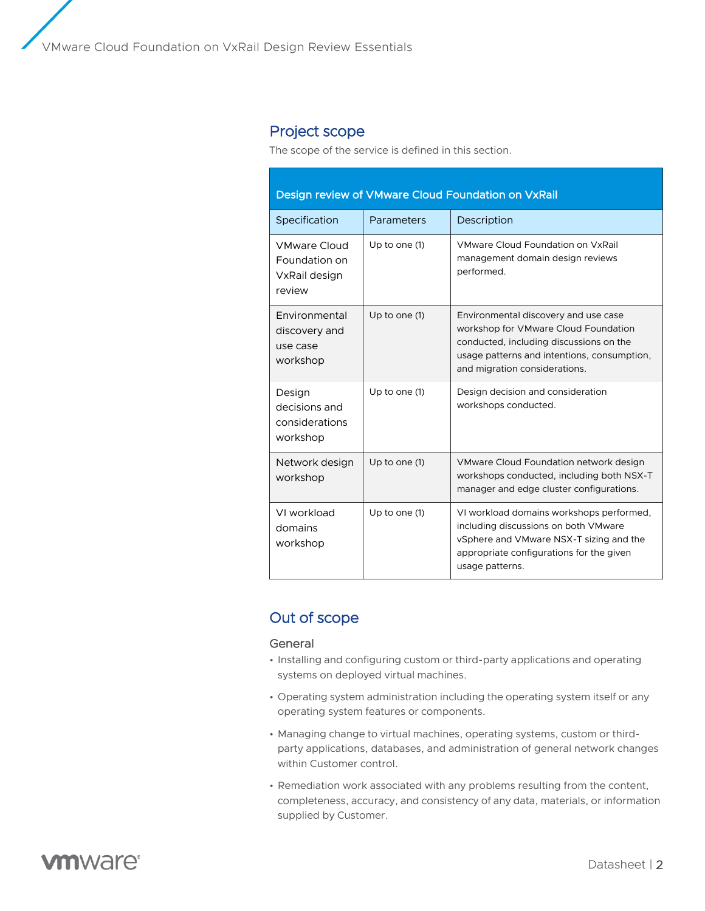VMware Cloud Foundation on VxRail Design Review Essentials

## Project scope

The scope of the service is defined in this section.

| Design review of VMware Cloud Foundation on VxRail              |                 |                                                                                                                                                                                                         |
|-----------------------------------------------------------------|-----------------|---------------------------------------------------------------------------------------------------------------------------------------------------------------------------------------------------------|
| Specification                                                   | Parameters      | Description                                                                                                                                                                                             |
| <b>VMware Cloud</b><br>Foundation on<br>VxRail design<br>review | Up to one $(1)$ | VMware Cloud Foundation on VxRail<br>management domain design reviews<br>performed.                                                                                                                     |
| Environmental<br>discovery and<br>use case<br>workshop          | Up to one (1)   | Environmental discovery and use case<br>workshop for VMware Cloud Foundation<br>conducted, including discussions on the<br>usage patterns and intentions, consumption,<br>and migration considerations. |
| Design<br>decisions and<br>considerations<br>workshop           | Up to one (1)   | Design decision and consideration<br>workshops conducted.                                                                                                                                               |
| Network design<br>workshop                                      | Up to one (1)   | VMware Cloud Foundation network design<br>workshops conducted, including both NSX-T<br>manager and edge cluster configurations.                                                                         |
| VI workload<br>domains<br>workshop                              | Up to one (1)   | VI workload domains workshops performed,<br>including discussions on both VMware<br>vSphere and VMware NSX-T sizing and the<br>appropriate configurations for the given<br>usage patterns.              |

# Out of scope

#### General

- Installing and configuring custom or third-party applications and operating systems on deployed virtual machines.
- Operating system administration including the operating system itself or any operating system features or components.
- Managing change to virtual machines, operating systems, custom or thirdparty applications, databases, and administration of general network changes within Customer control.
- Remediation work associated with any problems resulting from the content, completeness, accuracy, and consistency of any data, materials, or information supplied by Customer.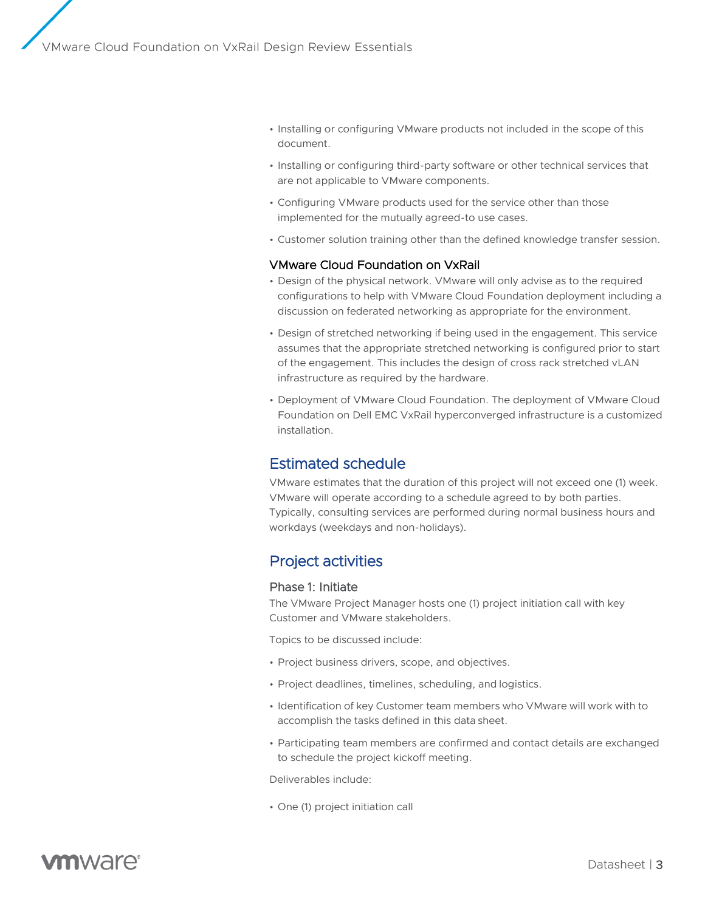- Installing or configuring VMware products not included in the scope of this document.
- Installing or configuring third-party software or other technical services that are not applicable to VMware components.
- Configuring VMware products used for the service other than those implemented for the mutually agreed-to use cases.
- Customer solution training other than the defined knowledge transfer session.

#### VMware Cloud Foundation on VxRail

- Design of the physical network. VMware will only advise as to the required configurations to help with VMware Cloud Foundation deployment including a discussion on federated networking as appropriate for the environment.
- Design of stretched networking if being used in the engagement. This service assumes that the appropriate stretched networking is configured prior to start of the engagement. This includes the design of cross rack stretched vLAN infrastructure as required by the hardware.
- Deployment of VMware Cloud Foundation. The deployment of VMware Cloud Foundation on Dell EMC VxRail hyperconverged infrastructure is a customized installation.

# Estimated schedule

VMware estimates that the duration of this project will not exceed one (1) week. VMware will operate according to a schedule agreed to by both parties. Typically, consulting services are performed during normal business hours and workdays (weekdays and non-holidays).

# Project activities

#### Phase 1: Initiate

The VMware Project Manager hosts one (1) project initiation call with key Customer and VMware stakeholders.

Topics to be discussed include:

- Project business drivers, scope, and objectives.
- Project deadlines, timelines, scheduling, and logistics.
- Identification of key Customer team members who VMware will work with to accomplish the tasks defined in this data sheet.
- Participating team members are confirmed and contact details are exchanged to schedule the project kickoff meeting.

Deliverables include:

• One (1) project initiation call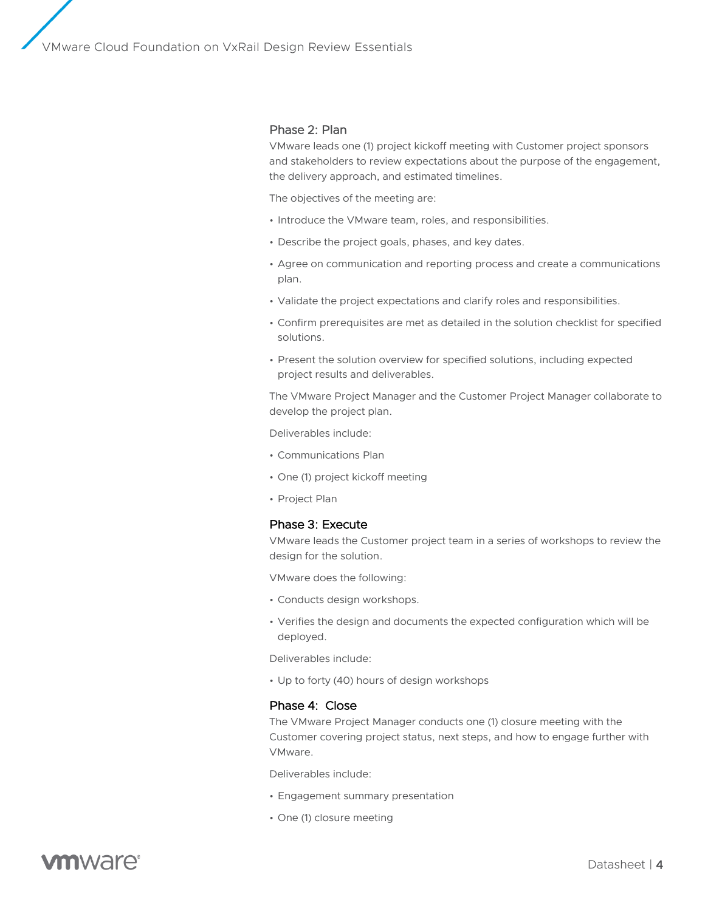VMware Cloud Foundation on VxRail Design Review Essentials

#### Phase 2: Plan

VMware leads one (1) project kickoff meeting with Customer project sponsors and stakeholders to review expectations about the purpose of the engagement, the delivery approach, and estimated timelines.

The objectives of the meeting are:

- Introduce the VMware team, roles, and responsibilities.
- Describe the project goals, phases, and key dates.
- Agree on communication and reporting process and create a communications plan.
- Validate the project expectations and clarify roles and responsibilities.
- Confirm prerequisites are met as detailed in the solution checklist for specified solutions.
- Present the solution overview for specified solutions, including expected project results and deliverables.

The VMware Project Manager and the Customer Project Manager collaborate to develop the project plan.

Deliverables include:

- Communications Plan
- One (1) project kickoff meeting
- Project Plan

#### Phase 3: Execute

VMware leads the Customer project team in a series of workshops to review the design for the solution.

VMware does the following:

- Conducts design workshops.
- Verifies the design and documents the expected configuration which will be deployed.

Deliverables include:

• Up to forty (40) hours of design workshops

#### Phase 4: Close

The VMware Project Manager conducts one (1) closure meeting with the Customer covering project status, next steps, and how to engage further with VMware.

Deliverables include:

- Engagement summary presentation
- One (1) closure meeting